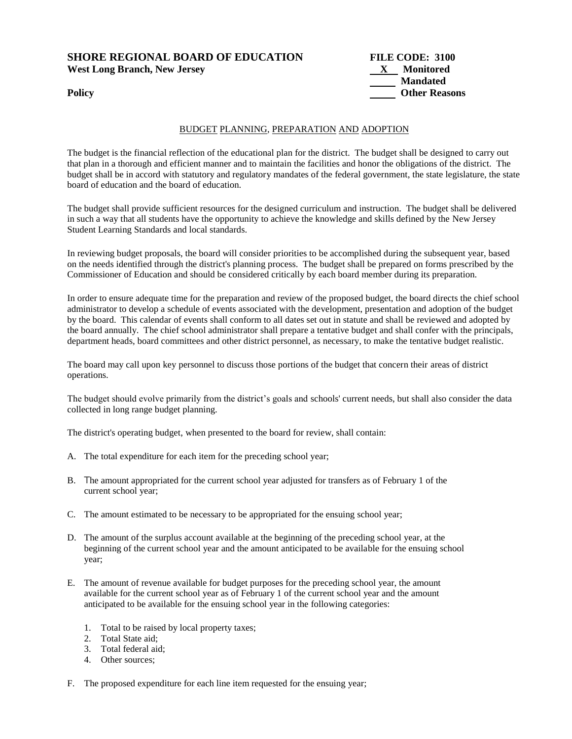# **SHORE REGIONAL BOARD OF EDUCATION FILE CODE: 3100**  West Long Branch, New Jersey X Monitored

#### BUDGET PLANNING, PREPARATION AND ADOPTION

The budget is the financial reflection of the educational plan for the district. The budget shall be designed to carry out that plan in a thorough and efficient manner and to maintain the facilities and honor the obligations of the district. The budget shall be in accord with statutory and regulatory mandates of the federal government, the state legislature, the state board of education and the board of education.

The budget shall provide sufficient resources for the designed curriculum and instruction. The budget shall be delivered in such a way that all students have the opportunity to achieve the knowledge and skills defined by the New Jersey Student Learning Standards and local standards.

In reviewing budget proposals, the board will consider priorities to be accomplished during the subsequent year, based on the needs identified through the district's planning process. The budget shall be prepared on forms prescribed by the Commissioner of Education and should be considered critically by each board member during its preparation.

In order to ensure adequate time for the preparation and review of the proposed budget, the board directs the chief school administrator to develop a schedule of events associated with the development, presentation and adoption of the budget by the board. This calendar of events shall conform to all dates set out in statute and shall be reviewed and adopted by the board annually. The chief school administrator shall prepare a tentative budget and shall confer with the principals, department heads, board committees and other district personnel, as necessary, to make the tentative budget realistic.

The board may call upon key personnel to discuss those portions of the budget that concern their areas of district operations.

The budget should evolve primarily from the district's goals and schools' current needs, but shall also consider the data collected in long range budget planning.

The district's operating budget, when presented to the board for review, shall contain:

- A. The total expenditure for each item for the preceding school year;
- B. The amount appropriated for the current school year adjusted for transfers as of February 1 of the current school year;
- C. The amount estimated to be necessary to be appropriated for the ensuing school year;
- D. The amount of the surplus account available at the beginning of the preceding school year, at the beginning of the current school year and the amount anticipated to be available for the ensuing school year;
- E. The amount of revenue available for budget purposes for the preceding school year, the amount available for the current school year as of February 1 of the current school year and the amount anticipated to be available for the ensuing school year in the following categories:
	- 1. Total to be raised by local property taxes;
	- 2. Total State aid;
	- 3. Total federal aid;
	- 4. Other sources;
- F. The proposed expenditure for each line item requested for the ensuing year;

**Mandated Policy Other Reasons**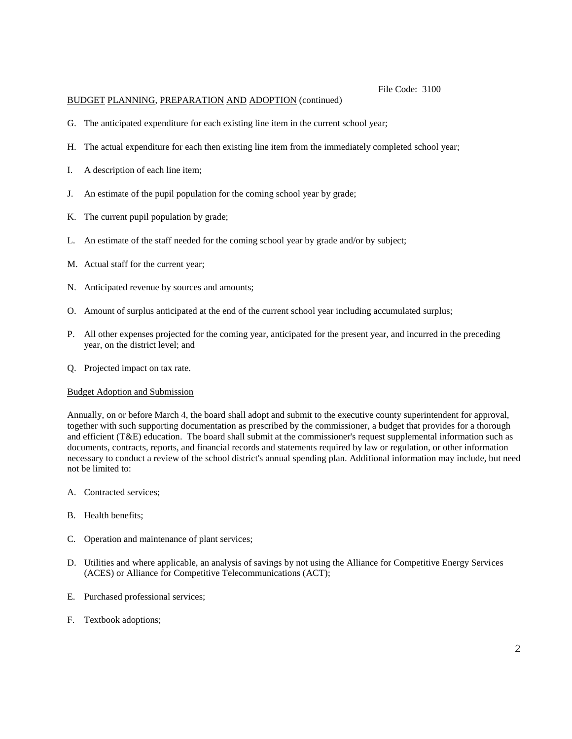### BUDGET PLANNING, PREPARATION AND ADOPTION (continued)

- G. The anticipated expenditure for each existing line item in the current school year;
- H. The actual expenditure for each then existing line item from the immediately completed school year;
- I. A description of each line item;
- J. An estimate of the pupil population for the coming school year by grade;
- K. The current pupil population by grade;
- L. An estimate of the staff needed for the coming school year by grade and/or by subject;
- M. Actual staff for the current year;
- N. Anticipated revenue by sources and amounts;
- O. Amount of surplus anticipated at the end of the current school year including accumulated surplus;
- P. All other expenses projected for the coming year, anticipated for the present year, and incurred in the preceding year, on the district level; and
- Q. Projected impact on tax rate.

#### Budget Adoption and Submission

Annually, on or before March 4, the board shall adopt and submit to the executive county superintendent for approval, together with such supporting documentation as prescribed by the commissioner, a budget that provides for a thorough and efficient (T&E) education. The board shall submit at the commissioner's request supplemental information such as documents, contracts, reports, and financial records and statements required by law or regulation, or other information necessary to conduct a review of the school district's annual spending plan. Additional information may include, but need not be limited to:

- A. Contracted services;
- B. Health benefits;
- C. Operation and maintenance of plant services;
- D. Utilities and where applicable, an analysis of savings by not using the Alliance for Competitive Energy Services (ACES) or Alliance for Competitive Telecommunications (ACT);
- E. Purchased professional services;
- F. Textbook adoptions;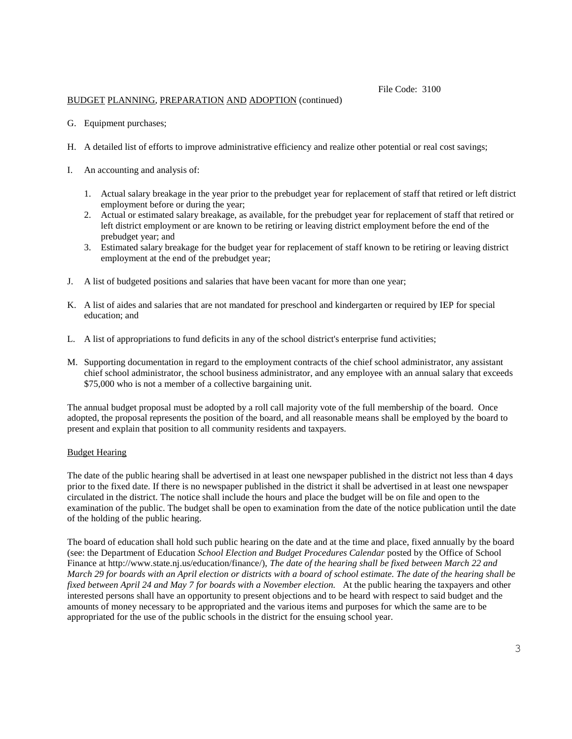## BUDGET PLANNING, PREPARATION AND ADOPTION (continued)

- G. Equipment purchases;
- H. A detailed list of efforts to improve administrative efficiency and realize other potential or real cost savings;
- I. An accounting and analysis of:
	- 1. Actual salary breakage in the year prior to the prebudget year for replacement of staff that retired or left district employment before or during the year;
	- 2. Actual or estimated salary breakage, as available, for the prebudget year for replacement of staff that retired or left district employment or are known to be retiring or leaving district employment before the end of the prebudget year; and
	- 3. Estimated salary breakage for the budget year for replacement of staff known to be retiring or leaving district employment at the end of the prebudget year;
- J. A list of budgeted positions and salaries that have been vacant for more than one year;
- K. A list of aides and salaries that are not mandated for preschool and kindergarten or required by IEP for special education; and
- L. A list of appropriations to fund deficits in any of the school district's enterprise fund activities;
- M. Supporting documentation in regard to the employment contracts of the chief school administrator, any assistant chief school administrator, the school business administrator, and any employee with an annual salary that exceeds \$75,000 who is not a member of a collective bargaining unit.

The annual budget proposal must be adopted by a roll call majority vote of the full membership of the board. Once adopted, the proposal represents the position of the board, and all reasonable means shall be employed by the board to present and explain that position to all community residents and taxpayers.

#### Budget Hearing

The date of the public hearing shall be advertised in at least one newspaper published in the district not less than 4 days prior to the fixed date. If there is no newspaper published in the district it shall be advertised in at least one newspaper circulated in the district. The notice shall include the hours and place the budget will be on file and open to the examination of the public. The budget shall be open to examination from the date of the notice publication until the date of the holding of the public hearing.

The board of education shall hold such public hearing on the date and at the time and place, fixed annually by the board (see: the Department of Education *School Election and Budget Procedures Calendar* posted by the Office of School Finance at http://www.state.nj.us/education/finance/), *The date of the hearing shall be fixed between March 22 and March 29 for boards with an April election or districts with a board of school estimate. The date of the hearing shall be fixed between April 24 and May 7 for boards with a November election.* At the public hearing the taxpayers and other interested persons shall have an opportunity to present objections and to be heard with respect to said budget and the amounts of money necessary to be appropriated and the various items and purposes for which the same are to be appropriated for the use of the public schools in the district for the ensuing school year.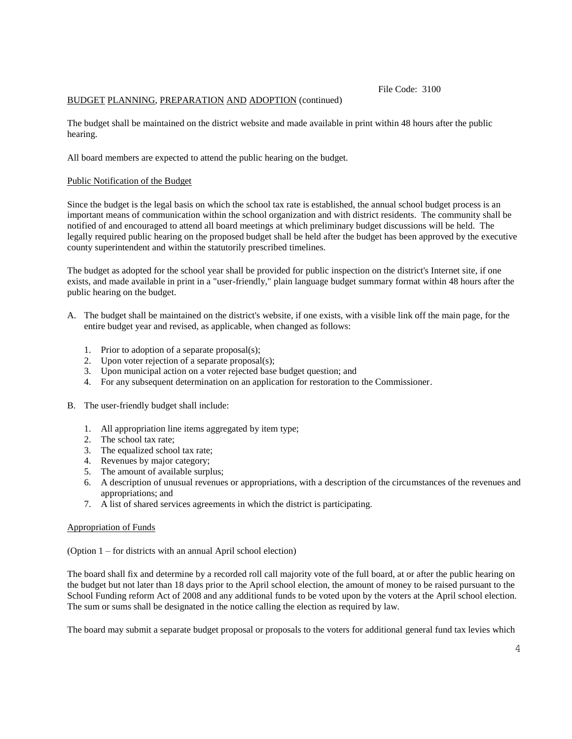## BUDGET PLANNING, PREPARATION AND ADOPTION (continued)

The budget shall be maintained on the district website and made available in print within 48 hours after the public hearing.

All board members are expected to attend the public hearing on the budget.

### Public Notification of the Budget

Since the budget is the legal basis on which the school tax rate is established, the annual school budget process is an important means of communication within the school organization and with district residents. The community shall be notified of and encouraged to attend all board meetings at which preliminary budget discussions will be held. The legally required public hearing on the proposed budget shall be held after the budget has been approved by the executive county superintendent and within the statutorily prescribed timelines.

The budget as adopted for the school year shall be provided for public inspection on the district's Internet site, if one exists, and made available in print in a "user-friendly," plain language budget summary format within 48 hours after the public hearing on the budget.

- A. The budget shall be maintained on the district's website, if one exists, with a visible link off the main page, for the entire budget year and revised, as applicable, when changed as follows:
	- 1. Prior to adoption of a separate proposal(s);
	- 2. Upon voter rejection of a separate proposal(s);
	- 3. Upon municipal action on a voter rejected base budget question; and
	- 4. For any subsequent determination on an application for restoration to the Commissioner.
- B. The user-friendly budget shall include:
	- 1. All appropriation line items aggregated by item type;
	- 2. The school tax rate;
	- 3. The equalized school tax rate;
	- 4. Revenues by major category;
	- 5. The amount of available surplus;
	- 6. A description of unusual revenues or appropriations, with a description of the circumstances of the revenues and appropriations; and
	- 7. A list of shared services agreements in which the district is participating.

#### Appropriation of Funds

(Option 1 – for districts with an annual April school election)

The board shall fix and determine by a recorded roll call majority vote of the full board, at or after the public hearing on the budget but not later than 18 days prior to the April school election, the amount of money to be raised pursuant to the School Funding reform Act of 2008 and any additional funds to be voted upon by the voters at the April school election. The sum or sums shall be designated in the notice calling the election as required by law.

The board may submit a separate budget proposal or proposals to the voters for additional general fund tax levies which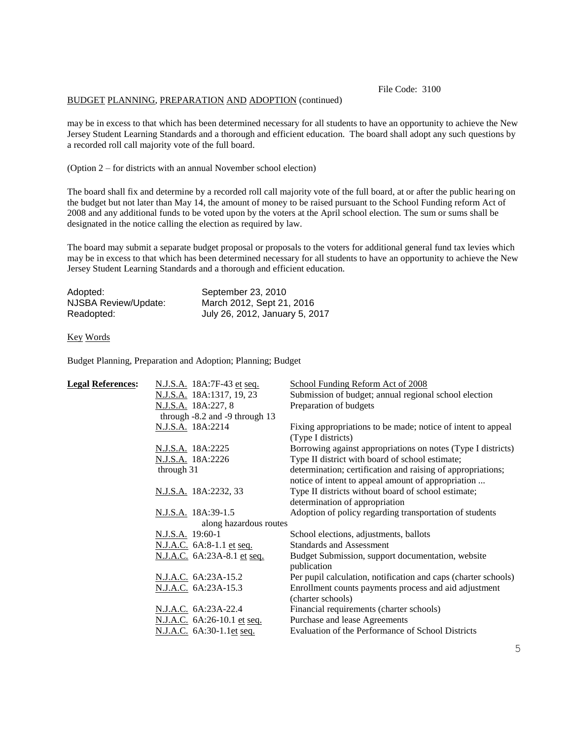### BUDGET PLANNING, PREPARATION AND ADOPTION (continued)

may be in excess to that which has been determined necessary for all students to have an opportunity to achieve the New Jersey Student Learning Standards and a thorough and efficient education. The board shall adopt any such questions by a recorded roll call majority vote of the full board.

(Option 2 – for districts with an annual November school election)

The board shall fix and determine by a recorded roll call majority vote of the full board, at or after the public hearing on the budget but not later than May 14, the amount of money to be raised pursuant to the School Funding reform Act of 2008 and any additional funds to be voted upon by the voters at the April school election. The sum or sums shall be designated in the notice calling the election as required by law.

The board may submit a separate budget proposal or proposals to the voters for additional general fund tax levies which may be in excess to that which has been determined necessary for all students to have an opportunity to achieve the New Jersey Student Learning Standards and a thorough and efficient education.

| Adopted:             | September 23, 2010             |
|----------------------|--------------------------------|
| NJSBA Review/Update: | March 2012, Sept 21, 2016      |
| Readopted:           | July 26, 2012, January 5, 2017 |

#### Key Words

Budget Planning, Preparation and Adoption; Planning; Budget

| <b>Legal References:</b> | N.J.S.A. 18A:7F-43 et seq.                | School Funding Reform Act of 2008                                                                                 |
|--------------------------|-------------------------------------------|-------------------------------------------------------------------------------------------------------------------|
|                          | N.J.S.A. 18A:1317, 19, 23                 | Submission of budget; annual regional school election                                                             |
|                          | N.J.S.A. 18A:227, 8                       | Preparation of budgets                                                                                            |
|                          | through $-8.2$ and $-9$ through 13        |                                                                                                                   |
|                          | N.J.S.A. 18A:2214                         | Fixing appropriations to be made; notice of intent to appeal<br>(Type I districts)                                |
|                          | N.J.S.A. 18A:2225                         | Borrowing against appropriations on notes (Type I districts)                                                      |
|                          | N.J.S.A. 18A:2226                         | Type II district with board of school estimate;                                                                   |
|                          | through 31                                | determination; certification and raising of appropriations;<br>notice of intent to appeal amount of appropriation |
|                          | N.J.S.A. 18A:2232, 33                     | Type II districts without board of school estimate;<br>determination of appropriation                             |
|                          | N.J.S.A. 18A:39-1.5                       | Adoption of policy regarding transportation of students                                                           |
| along hazardous routes   |                                           |                                                                                                                   |
|                          | N.J.S.A. 19:60-1                          | School elections, adjustments, ballots                                                                            |
|                          | N.J.A.C. 6A:8-1.1 et seq.                 | <b>Standards and Assessment</b>                                                                                   |
|                          | <u>N.J.A.C.</u> 6A:23A-8.1 <u>et seq.</u> | Budget Submission, support documentation, website<br>publication                                                  |
|                          | N.J.A.C. 6A:23A-15.2                      | Per pupil calculation, notification and caps (charter schools)                                                    |
|                          | N.J.A.C. 6A:23A-15.3                      | Enrollment counts payments process and aid adjustment                                                             |
|                          |                                           | (charter schools)                                                                                                 |
|                          | N.J.A.C. 6A:23A-22.4                      | Financial requirements (charter schools)                                                                          |
|                          | <u>N.J.A.C.</u> 6A:26-10.1 et seq.        | Purchase and lease Agreements                                                                                     |
|                          | N.J.A.C. 6A:30-1.1et seq.                 | Evaluation of the Performance of School Districts                                                                 |